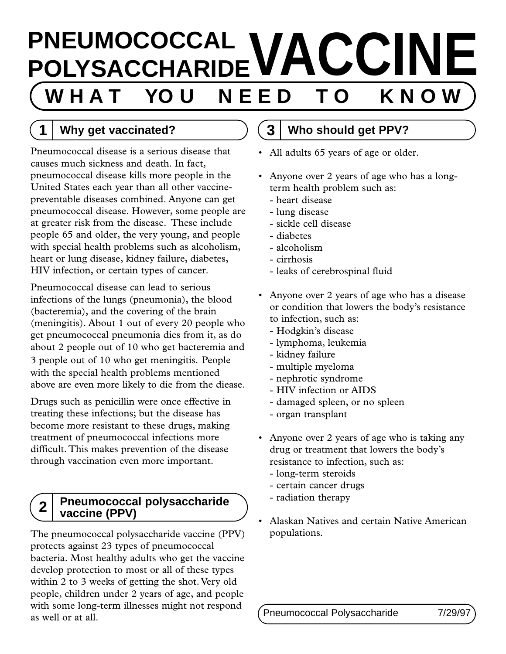# **PNEUMOCOCCAL VACCINE W H A T YO U N E E D T O K N O W**

# **1 Why get vaccinated?**

Pneumococcal disease is a serious disease that causes much sickness and death. In fact, pneumococcal disease kills more people in the United States each year than all other vaccinepreventable diseases combined. Anyone can get pneumococcal disease. However, some people are at greater risk from the disease. These include people 65 and older, the very young, and people with special health problems such as alcoholism, heart or lung disease, kidney failure, diabetes, HIV infection, or certain types of cancer.

Pneumococcal disease can lead to serious infections of the lungs (pneumonia), the blood (bacteremia), and the covering of the brain (meningitis). About 1 out of every 20 people who get pneumococcal pneumonia dies from it, as do about 2 people out of 10 who get bacteremia and 3 people out of 10 who get meningitis. People with the special health problems mentioned above are even more likely to die from the diease.

Drugs such as penicillin were once effective in treating these infections; but the disease has become more resistant to these drugs, making treatment of pneumococcal infections more difficult. This makes prevention of the disease through vaccination even more important.

#### **2 Pneumococcal polysaccharide vaccine (PPV)**

The pneumococcal polysaccharide vaccine (PPV) protects against 23 types of pneumococcal bacteria. Most healthy adults who get the vaccine develop protection to most or all of these types within 2 to 3 weeks of getting the shot. Very old people, children under 2 years of age, and people with some long-term illnesses might not respond as well or at all.

## **3 Who should get PPV?**

- All adults 65 years of age or older.
- Anyone over 2 years of age who has a longterm health problem such as:
	- heart disease
	- lung disease
	- sickle cell disease
	- diabetes
	- alcoholism
	- cirrhosis
	- leaks of cerebrospinal fluid
- Anyone over 2 years of age who has a disease or condition that lowers the body's resistance to infection, such as:
	- Hodgkin's disease
	- lymphoma, leukemia
	- kidney failure
	- multiple myeloma
	- nephrotic syndrome
	- HIV infection or AIDS
	- damaged spleen, or no spleen
	- organ transplant
- Anyone over 2 years of age who is taking any drug or treatment that lowers the body's resistance to infection, such as:
	- long-term steroids
	- certain cancer drugs
	- radiation therapy
- Alaskan Natives and certain Native American populations.

Pneumococcal Polysaccharide 7/29/97